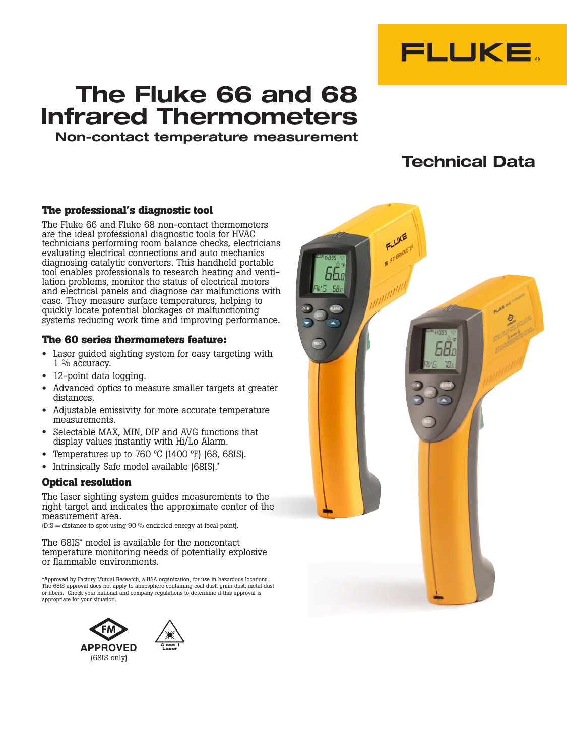

# **The Fluke 66 and 68 Infrared Thermometers**

**Non-contact temperature measurement**

## **Technical Data**

#### **The professional's diagnostic tool**

The Fluke 66 and Fluke 68 non-contact thermometers are the ideal professional diagnostic tools for HVAC technicians performing room balance checks, electricians evaluating electrical connections and auto mechanics diagnosing catalytic converters. This handheld portable tool enables professionals to research heating and ventilation problems, monitor the status of electrical motors and electrical panels and diagnose car malfunctions with ease. They measure surface temperatures, helping to quickly locate potential blockages or malfunctioning systems reducing work time and improving performance.

#### **The 60 series thermometers feature:**

- Laser guided sighting system for easy targeting with 1 % accuracy.
- 12-point data logging.
- Advanced optics to measure smaller targets at greater distances.
- Adjustable emissivity for more accurate temperature measurements.
- Selectable MAX, MIN, DIF and AVG functions that display values instantly with Hi/Lo Alarm.
- Temperatures up to 760  $\degree$ C (1400  $\degree$ F) (68, 68IS).
- Intrinsically Safe model available (68IS).\*

#### **Optical resolution**

The laser sighting system guides measurements to the right target and indicates the approximate center of the measurement area.

 $(D: S = distance to spot using 90 % enriched energy at focal point).$ 

The 68IS\* model is available for the noncontact temperature monitoring needs of potentially explosive or flammable environments.

\*Approved by Factory Mutual Research, a USA organization, for use in hazardous locations. The 68IS approval does not apply to atmosphere containing coal dust, grain dust, metal dust or fibers. Check your national and company regulations to determine if this approval is appropriate for your situation.